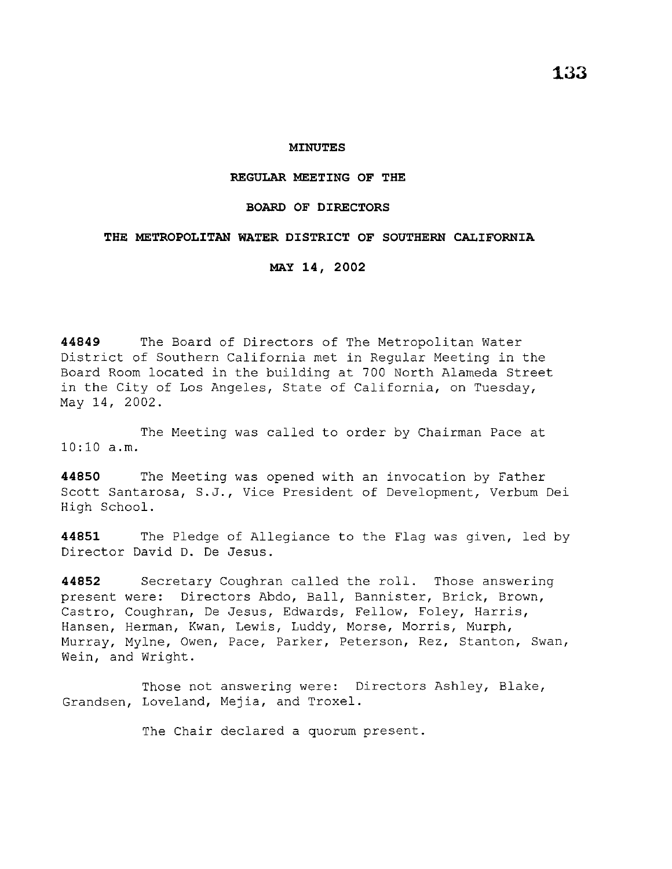#### **MINUTES**

### **REGULAR MEETING OF THE**

## **BOARD OF DIRECTORS**

## **THE METROPOLITAN WATER DISTRICT OF SOUTHERN CALIFORNIA**

**MAY 14, 2002** 

**44849** The Board of Directors of The Metropolitan Water District of Southern California met in Regular Meeting in the Board Room located in the building at 700 North Alameda Street in the City of Los Angeles, State of California, on Tuesday, May 14, 2002.

The Meeting was called to order by Chairman Pace at 10:10 a.m.

**44850** The Meeting was opened with an invocation by Father Scott Santarosa, S.J., Vice President of Development, Verbum Dei High School.

**44851** The Pledge of Allegiance to the Flag was given, led by Director David D. De Jesus.

**44852** Secretary Coughran called the roll. Those answering present were: Directors Abdo, Ball, Bannister, Brick, Brown, Castro, Coughran, De Jesus, Edwards, Fellow, Foley, Harris, Hansen, Herman, Kwan, Lewis, Luddy, Morse, Morris, Murph, Murray, Mylne, Owen, Pace, Parker, Peterson, Rez, Stanton, Swan, Wein, and Wright.

Those not answering were: Directors Ashley, Blake, Grandsen, Loveland, Mejia, and Troxel.

The Chair declared a quorum present.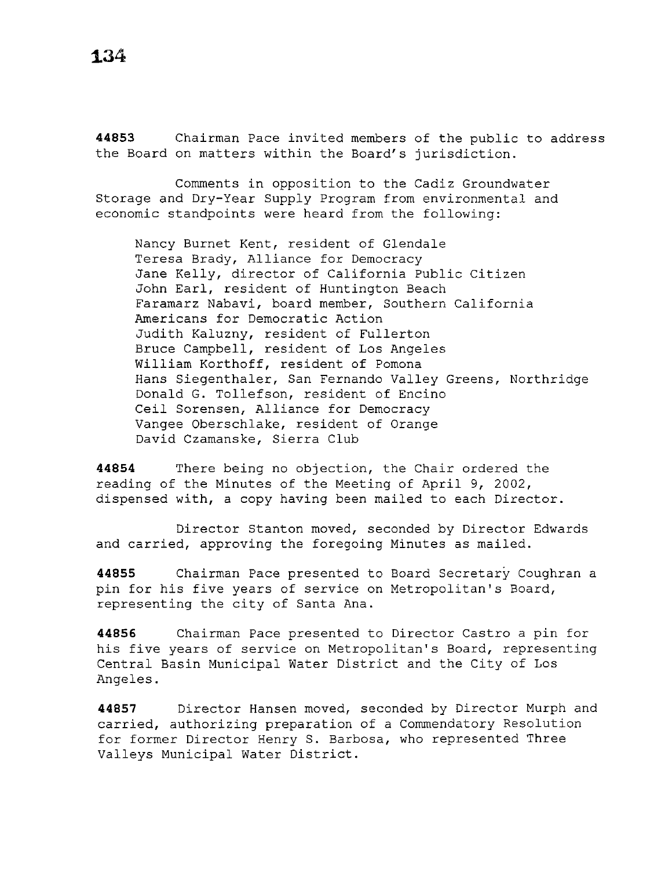**44853** Chairman Pace invited members of the public to address the Board on matters within the Board's jurisdiction.

Comments in opposition to the Cadiz Groundwater Storage and Dry-Year Supply Program from environmental and economic standpoints were heard from the following:

Nancy Burnet Kent, resident of Glendale Teresa Brady, Alliance for Democracy Jane Kelly, director of California Public Citizen John Earl, resident of Huntington Beach Faramarz Nabavi, board member, Southern California Americans for Democratic Action Judith Kaluzny, resident of Fullerton Bruce Campbell, resident of Los Angeles William Korthoff, resident of Pomona Hans Siegenthaler, San Fernando Valley Greens, Northridge Donald G. Tollefson, resident of Encino Ceil Sorensen, Alliance for Democracy Vangee Oberschlake, resident of Orange David Czamanske, Sierra Club

**44854** There being no objection, the Chair ordered the reading of the Minutes of the Meeting of April 9, 2002, dispensed with, a copy having been mailed to each Director.

Director Stanton moved, seconded by Director Edwards and carried, approving the foregoing Minutes as mailed.

**44855** Chairman Pace presented to Board Secretary Coughran a pin for his five years of service on Metropolitan's Board, representing the city of Santa Ana.

**44856** Chairman Pace presented to Director Castro a pin for his five years of service on Metropolitan's Board, representing Central Basin Municipal Water District and the City of Los Angeles.

**44857** Director Hansen moved, seconded by Director Murph and carried, authorizing preparation of a Commendatory Resolution for former Director Henry S. Barbosa, who represented Three Valleys Municipal Water District.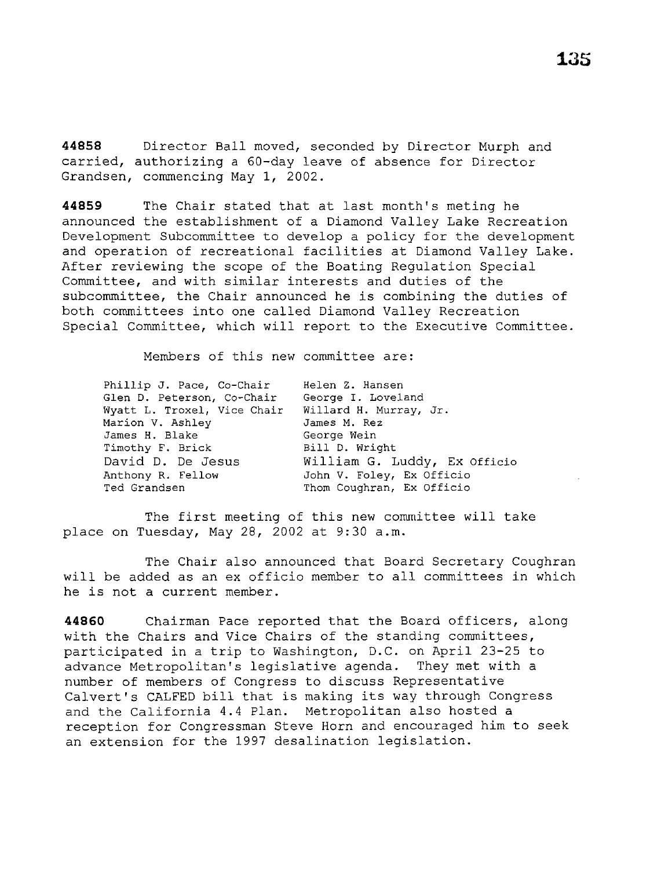**44858** Director Ball moved, seconded by Director Murph and carried, authorizing a 60-day leave of absence for Director Grandsen, commencing May 1, 2002.

**44859** The Chair stated that at last month's meting he announced the establishment of a Diamond Valley Lake Recreation Development Subcommittee to develop a policy for the development and operation of recreational facilities at Diamond Valley Lake. After reviewing the scope of the Boating Regulation Special Committee, and with similar interests and duties of the subcommittee, the Chair announced he is combining the duties of both committees into one called Diamond Valley Recreation Special Committee, which will report to the Executive Committee.

Members of this new committee are:

| Phillip J. Pace, Co-Chair<br>Glen D. Peterson, Co-Chair<br>Wyatt L. Troxel, Vice Chair | Helen Z. Hansen<br>George I. Loveland<br>Willard H. Murray, Jr. |
|----------------------------------------------------------------------------------------|-----------------------------------------------------------------|
| Marion V. Ashley                                                                       | James M. Rez                                                    |
| James H. Blake                                                                         | George Wein                                                     |
| Timothy F. Brick                                                                       | Bill D. Wright                                                  |
| David D. De Jesus                                                                      | William G. Luddy, Ex Officio                                    |
| Anthony R. Fellow                                                                      | John V. Foley, Ex Officio                                       |
| Ted Grandsen                                                                           | Thom Coughran, Ex Officio                                       |

The first meeting of this new committee will take place on Tuesday, May 28, 2002 at 9:30 a.m.

The Chair also announced that Board Secretary Coughran will be added as an ex officio member to all committees in which he is not a current member.

**44860** Chairman Pace reported that the Board officers, along with the Chairs and Vice Chairs of the standing committees, participated in a trip to Washington, D.C. on April 23-25 to advance Metropolitan's legislative agenda. They met with a number of members of Congress to discuss Representative Calvert's CALFED bill that is making its way through Congress and the California 4.4 Plan. Metropolitan also hosted a reception for Congressman Steve Horn and encouraged him to seek an extension for the 1997 desalination legislation.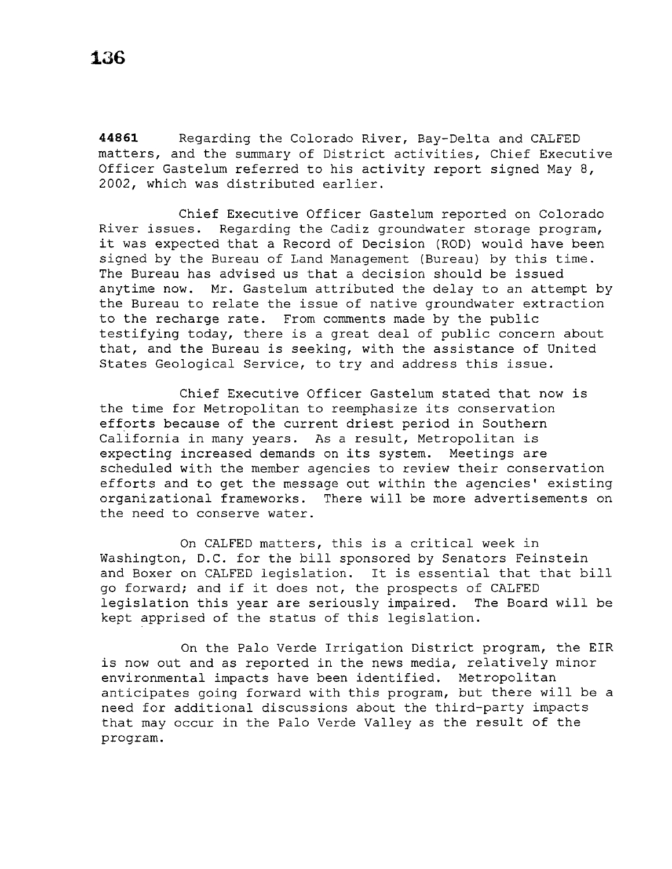**44861** Regarding the Colorado River, Bay-Delta and CALFED matters, and the summary of District activities, Chief Executive Officer Gastelum referred to his activity report signed May 8, 2002, which was distributed earlier.

Chief Executive Officer Gastelum reported on Colorado River issues. Regarding the Cadiz groundwater storage program, it was expected that a Record of Decision (ROD) would have been signed by the Bureau of Land Management (Bureau) by this time. The Bureau has advised us that a decision should be issued anytime now. Mr. Gastelum attributed the delay to an attempt by the Bureau to relate the issue of native groundwater extraction to the recharge rate. From comments made by the public testifying today, there is a great deal of public concern about that, and the Bureau is seeking, with the assistance of United States Geological Service, to try and address this issue.

Chief Executive Officer Gastelum stated that now is the time for Metropolitan to reemphasize its conservation efforts because of the current driest period in Southern California in many years. As a result, Metropolitan is expecting increased demands on its system. Meetings are scheduled with the member agencies to review their conservation efforts and to get the message out within the agencies' existing organizational frameworks. There will be more advertisements on the need to conserve water.

On CALFED matters, this is a critical week in Washington, D.C. for the bill sponsored by Senators Feinstein and Boxer on CALFED legislation. It is essential that that bill go forward; and if it does not, the prospects of CALFED<br>legislation this year are seriously impaired. The Board will be legislation this year are seriously impaired. kept apprised of the status of this legislation.

On the Palo Verde Irrigation District program, the EIR is now out and as reported in the news media, relatively minor environmental impacts have been identified. Metropolitan anticipates going forward with this program, but there will be a need for additional discussions about the third-party impacts that may occur in the Palo Verde Valley as the result of the program.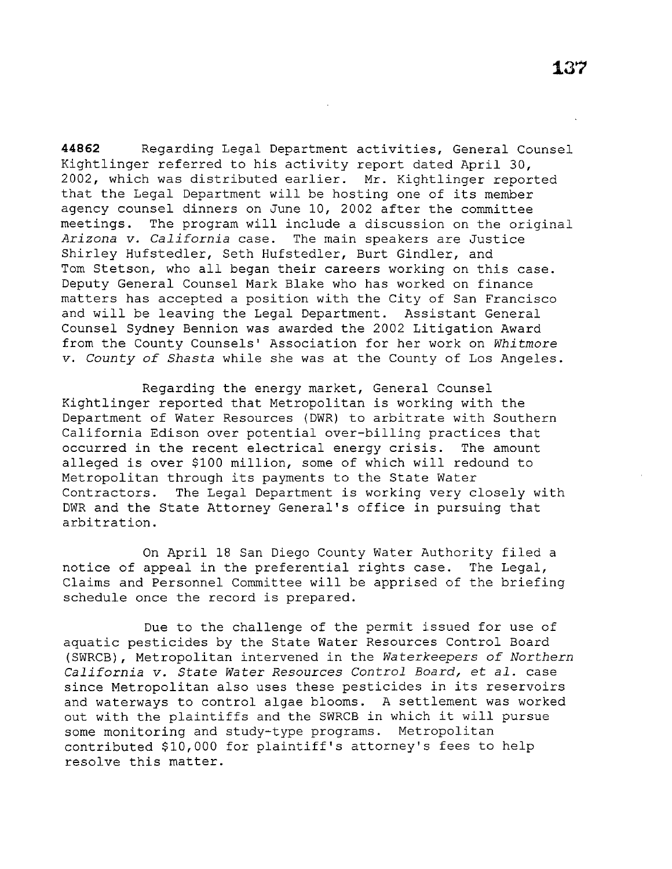**44862** Regarding Legal Department activities, General Counsel Kightlinger referred to his activity report dated April 30, 2002, which was distributed earlier. Mr. Kightlinger reported that the Legal Department will be hosting one of its member agency counsel dinners on June 10, 2002 after the committee meetings. The program will include a discussion on the original<br>Arizona v. California case. The main speakers are Justice The main speakers are Justice Shirley Hufstedler, Seth Hufstedler, Burt Gindler, and Tom Stetson, who all began their careers working on this case. Deputy General Counsel Mark Blake who has worked on finance matters has accepted a position with the City of San Francisco and will be leaving the Legal Department. Assistant General Counsel Sydney Bennion was awarded the 2002 Litigation Award from the County Counsels' Association for her work on *Whitmore v. County of Shasta* while she was at the County of Los Angeles.

Regarding the energy market, General Counsel Kightlinger reported that Metropolitan is working with the Department of Water Resources (DWR) to arbitrate with Southern California Edison over potential over-billing practices that occurred in the recent electrical energy crisis. The amount alleged is over \$100 million, some of which will redound to Metropolitan through its payments to the State Water Contractors. The Legal Department is working very closely with DWR and the State Attorney General's office in pursuing that arbitration.

On April 18 San Diego County Water Authority filed a notice of appeal in the preferential rights case. The Legal, Claims and Personnel Committee will be apprised of the briefing schedule once the record is prepared.

Due to the challenge of the permit issued for use of aquatic pesticides by the State Water Resources Control Board (SWRCB), Metropolitan intervened in the *Waterkeepers of Northern California v. State Water Resources Control Board,* et *al.* case since Metropolitan also uses these pesticides in its reservoirs and waterways to control algae blooms. A settlement was worked out with the plaintiffs and the SWRCB in which it will pursue some monitoring and study-type programs. Metropolitan contributed \$10,000 for plaintiff's attorney's fees to help resolve this matter.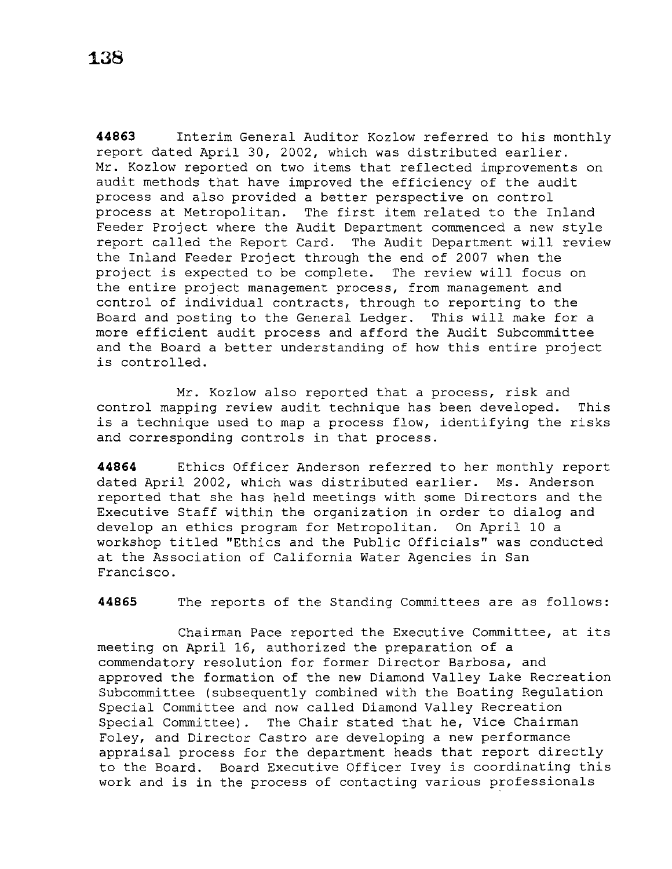**44863** Interim General Auditor Kozlow referred to his monthly report dated April 30, 2002, which was distributed earlier. Mr. Kozlow reported on two items that reflected improvements on audit methods that have improved the efficiency of the audit process and also provided a better perspective on control process at Metropolitan. The first item related to the Inland Feeder Project where the Audit Department commenced a new style report called the Report Card. The Audit Department will review the Inland Feeder Project through the end of 2007 when the project is expected to be complete. The review will focus on the entire project management process, from management and control of individual contracts, through to reporting to the Board and posting to the General Ledger. This will make for a more efficient audit process and afford the Audit Subcommittee and the Board a better understanding of how this entire project is controlled.

Mr. Kozlow also reported that a process, risk and control mapping review audit technique has been developed. This is a technique used to map a process flow, identifying the risks and corresponding controls in that process.

**44864** Ethics Officer Anderson referred to her monthly report dated April 2002, which was distributed earlier. Ms. Anderson reported that she has held meetings with some Directors and the Executive Staff within the organization in order to dialog and develop an ethics program for Metropolitan. On April 10 a workshop titled ''Ethics and the Public Officials'' was conducted at the Association of California Water Agencies in San Francisco.

**44865** The reports of the Standing Committees are as follows:

Chairman Pace reported the Executive Committee, at its meeting on April 16, authorized the preparation of a commendatory resolution for former Director Barbosa, and approved the formation of the new Diamond Valley Lake Recreation Subcommittee (subsequently combined with the Boating Regulation Special Committee and now called Diamond Valley Recreation Special Committee). The Chair stated that he, Vice Chairman Foley, and Director Castro are developing a new performance appraisal process for the department heads that report directly to the Board. Board Executive Officer Ivey is coordinating this work and is in the process of contacting various professionals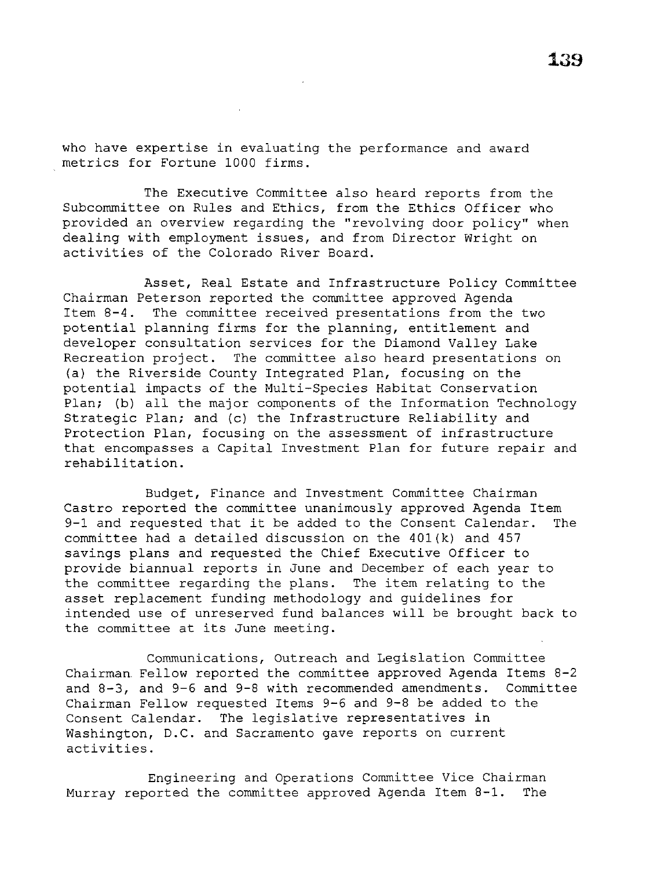who have expertise in evaluating the performance and award metrics for Fortune 1000 firms.

The Executive Committee also heard reports from the Subcommittee on Rules and Ethics, from the Ethics Officer who provided an overview regarding the ''revolving door policy" when dealing with employment issues, and from Director Wright on activities of the Colorado River Board.

Asset, Real Estate and Infrastructure Policy Committee Chairman Peterson reported the committee approved Agenda Item 8-4. The committee received presentations from the two potential planning firms for the planning, entitlement and developer consultation services for the Diamond Valley Lake Recreation project. The committee also heard presentations on {a) the Riverside County Integrated Plan, focusing on the potential impacts of the Multi-Species Habitat Conservation Plan; (b) all the major components of the Information Technology Strategic Plan; and (c) the Infrastructure Reliability and Protection Plan, focusing on the assessment of infrastructure that encompasses a Capital Investment Plan for future repair and rehabilitation.

Budget, Finance and Investment Committee Chairman Castro reported the committee unanimously approved Agenda Item 9-1 and requested that it be added to the Consent Calendar. The committee had a detailed discussion on the 401(k) and 457 savings plans and requested the Chief Executive Officer to provide biannual reports in June and December of each year to the committee regarding the plans. The item relating to the asset replacement funding methodology and guidelines for intended use of unreserved fund balances will be brought back to the committee at its June meeting.

Communications, Outreach and Legislation Committee Chairman. Fellow reported the committee approved Agenda Items 8-2 and 8-3, and 9-6 and 9-8 with recommended amendments. Committee Chairman Fellow requested Items 9-6 and 9-8 be added to the Consent Calendar. The legislative representatives in Washington, D.C. and Sacramento gave reports on current activities.

Engineering and Operations Committee Vice Chairman Murray reported the committee approved Agenda Item 8-1. The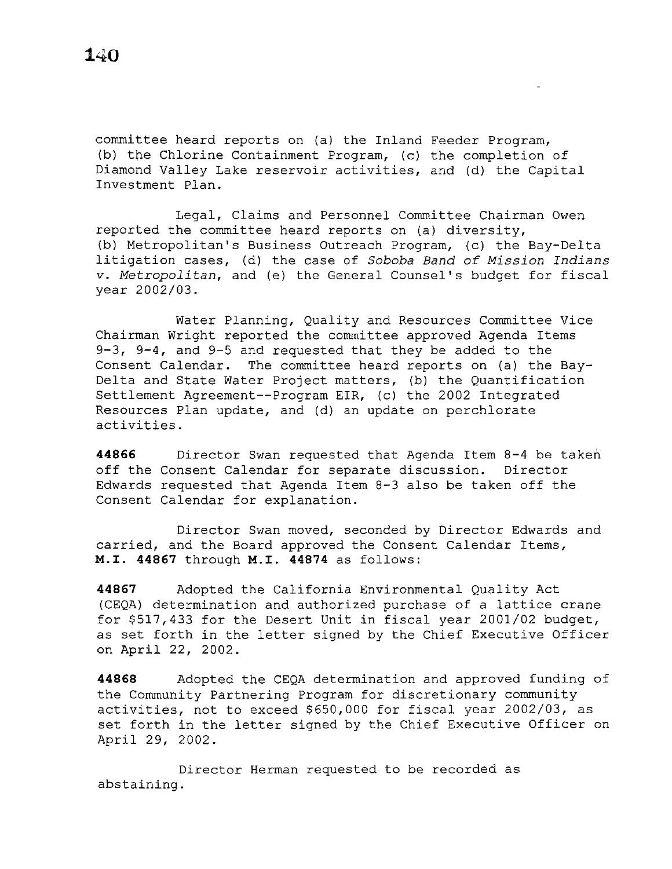committee heard reports on (a) the Inland Feeder Program, (b) the Chlorine Containment Program, (c) the completion of Diamond Valley Lake reservoir activities, and (d) the Capital Investment Plan.

Legal, Claims and Personnel Committee Chairman Owen reported the committee heard reports on (a) diversity, (b) Metropolitan's Business Outreach Program, (c) the Bay-Delta litigation cases, (d) the case of *Soboba Band of Mission Indians*  v. *Metropolitan,* and (e) the General Counsel's budget for fiscal year 2002/03.

Water Planning, Quality and Resources Committee Vice Chairman Wright reported the committee approved Agenda Items 9-3, 9-4, and 9-5 and requested that they be added to the Consent Calendar. The committee heard reports on (a) the Bay-Delta and State Water Project matters, (b) the Quantification Settlement Agreement--Program EIR, (c) the 2002 Integrated Resources Plan update, and (d) an update on perchlorate activities.

**44866** Director Swan requested that Agenda Item 8-4 be taken off the Consent Calendar for separate discussion. Director Edwards requested that Agenda Item 8-3 also be taken off the Consent Calendar for explanation.

Director Swan moved, seconded by Director Edwards and carried, and the Board approved the Consent Calendar Items, M.I. **44867** through M.I. **44874** as follows:

**44867** Adopted the California Environmental Quality Act (CEQA) determination and authorized purchase of a lattice crane for \$517,433 for the Desert Unit in fiscal year 2001/02 budget, as set forth in the letter signed by the Chief Executive Officer on April 22, 2002.

**44868** Adopted the CEQA determination and approved funding of the Community Partnering Program for discretionary community activities, not to exceed \$650,000 for fiscal year 2002/03, as set forth in the letter signed by the Chief Executive Officer on April 29, 2002.

Director Herman requested to be recorded as abstaining.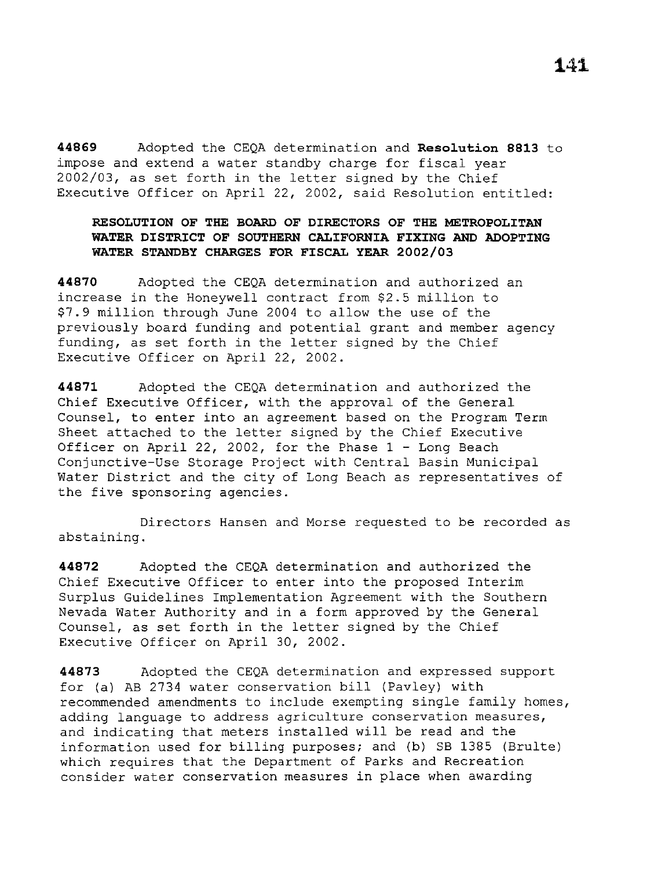**44869** Adopted the CEQA determination and **Resolution 8813** to impose and extend a water standby charge for fiscal year 2002/03, as set forth in the letter signed by the Chief Executive Officer on April 22, 2002, said Resolution entitled:

# **RESOLUTION OF THE BOARD OF DIRECTORS OF THE METROPOLITAN WATER DISTRICT OF SOUTHERN CALIFORNIA FIXING AND ADOPTING WATER STANDBY CHARGES FOR FISCAL YEAR 2002/03**

**44870** Adopted the CEQA determination and authorized an increase in the Honeywell contract from \$2.5 million to \$7.9 million through June 2004 to allow the use of the previously board funding and potential grant and member agency funding, as set forth in the letter signed by the Chief Executive Officer on April 22, 2002.

**44871** Adopted the CEQA determination and authorized the Chief Executive Officer, with the approval of the General Counsel, to enter into an agreement based on the Program Term Sheet attached to the letter signed by the Chief Executive Officer on April 22, 2002, for the Phase 1 - Long Beach Conjunctive-Use Storage Project with Central Basin Municipal Water District and the city of Long Beach as representatives of the five sponsoring agencies.

Directors Hansen and Morse requested to be recorded as abstaining.

**44872** Adopted the CEQA determination and authorized the Chief Executive Officer to enter into the proposed Interim Surplus Guidelines Implementation Agreement with the Southern Nevada Water Authority and in a form approved by the General Counsel, as set forth in the letter signed by the Chief Executive Officer on April 30, 2002.

**44873** Adopted the CEQA determination and expressed support for (a) AB 2734 water conservation bill (Pavley) with recommended amendments to include exempting single family homes, adding language to address agriculture conservation measures, and indicating that meters installed will be read and the information used for billing purposes; and (b) SB 1385 (Brulte) which requires that the Department of Parks and Recreation consider water conservation measures in place when awarding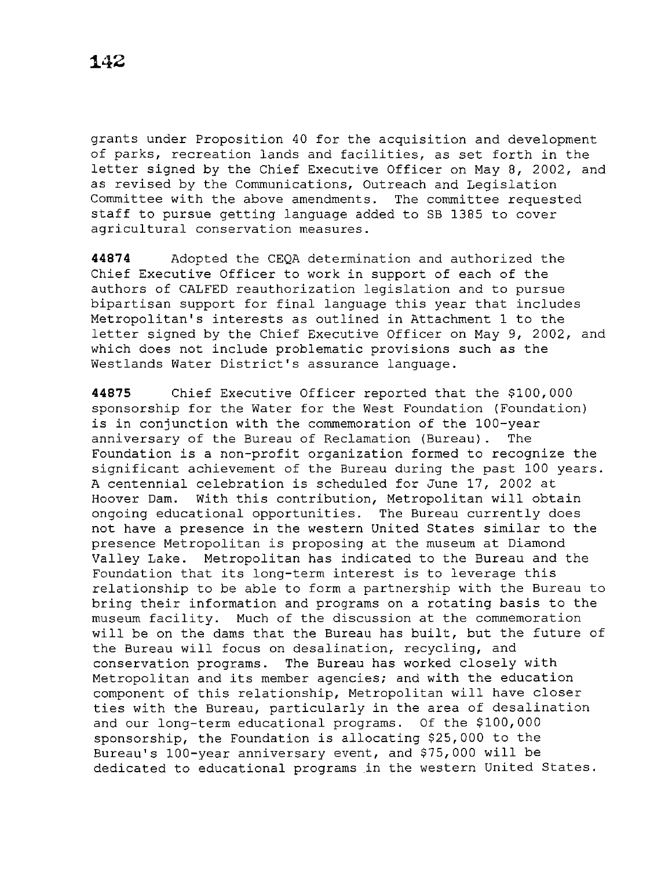grants under Proposition 40 for the acquisition and development of parks, recreation lands and facilities, as set forth in the letter signed by the Chief Executive Officer on May 8, 2002, and as revised by the Communications, Outreach and Legislation Committee with the above amendments. The committee requested staff to pursue getting language added to SB 1385 to cover agricultural conservation measures.

**44874** Adopted the CEQA determination and authorized the Chief Executive Officer to work in support of each of the authors of CALFED reauthorization legislation and to pursue bipartisan support for final language this year that includes Metropolitan's interests as outlined in Attachment 1 to the letter signed by the Chief Executive Officer on May 9, 2002, and which does not include problematic provisions such as the Westlands Water District's assurance language.

**44875** Chief Executive Officer reported that the \$100,000 sponsorship for the Water for the West Foundation (Foundation) is in conjunction with the commemoration of the 100-year anniversary of the Bureau of Reclamation (Bureau). The Foundation is a non-profit organization formed to recognize the significant achievement of the Bureau during the past 100 years. A centennial celebration is scheduled for June 17, 2002 at Hoover Dam. With this contribution, Metropolitan will obtain ongoing educational opportunities. The Bureau currently does not have a presence in the western United States similar to the presence Metropolitan is proposing at the museum at Diamond Valley Lake. Metropolitan has indicated to the Bureau and the Foundation that its long-term interest is to leverage this relationship to be able to form a partnership with the Bureau to bring their information and programs on a rotating basis to the museum facility. Much of the discussion at the commemoration will be on the dams that the Bureau has built, but the future of the Bureau will focus on desalination, recycling, and conservation programs. The Bureau has worked closely with Metropolitan and its member agencies; and with the education component of this relationship, Metropolitan will have closer ties with the Bureau, particularly in the area of desalination and our long-term educational programs. Of the \$100,000 sponsorship, the Foundation is allocating \$25,000 to the Bureau's 100-year anniversary event, and \$75,000 will be dedicated to educational programs in the western United States.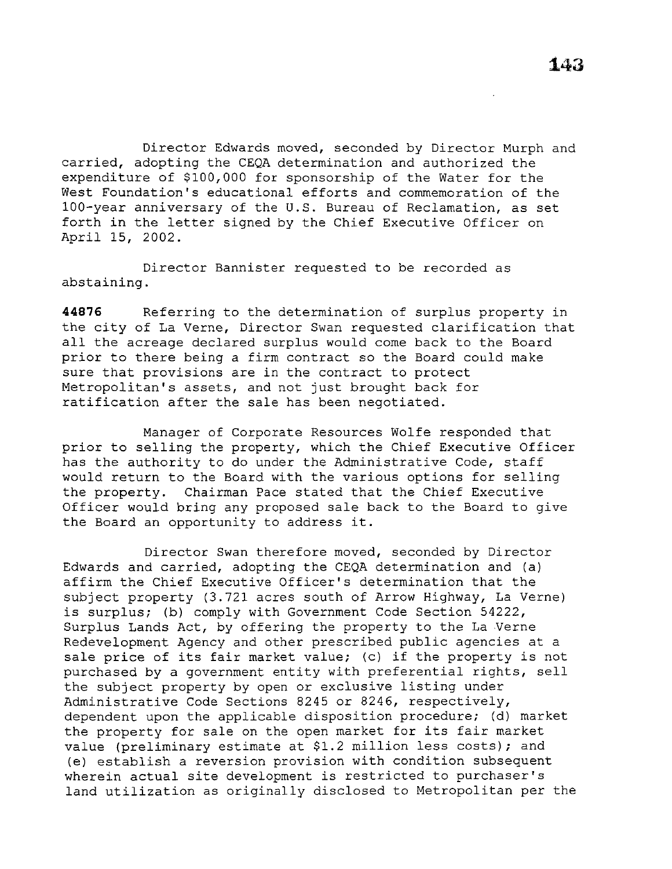Director Edwards moved, seconded by Director Murph and carried, adopting the CEQA determination and authorized the expenditure of \$100,000 for sponsorship of the Water for the West Foundation's educational efforts and commemoration of the 100-year anniversary of the U.S. Bureau of Reclamation, as set forth in the letter signed by the Chief Executive Officer on April 15, 2002.

Director Bannister requested to be recorded as abstaining.

**44876** Referring to the determination of surplus property in the city of La Verne, Director Swan requested clarification that all the acreage declared surplus would come back to the Board prior to there being a firm contract so the Board could make sure that provisions are in the contract to protect Metropolitan's assets, and not just brought back for ratification after the sale has been negotiated.

Manager of Corporate Resources Wolfe responded that prior to selling the property, which the Chief Executive Officer has the authority to do under the Administrative Code, staff would return to the Board with the various options for selling the property. Chairman Pace stated that the Chief Executive Officer would bring any proposed sale back to the Board to give the Board an opportunity to address it.

Director Swan therefore moved, seconded by Director Edwards and carried, adopting the CEQA determination and (a) affirm the Chief Executive Officer's determination that the subject property (3.721 acres south of Arrow Highway, La Verne) is surplus; (b) comply with Government Code Section 54222, Surplus Lands Act, by offering the property to the La Verne Redevelopment Agency and other prescribed public agencies at a sale price of its fair market value; (c) if the property is not purchased by a government entity with preferential rights, sell the subject property by open or exclusive listing under Administrative Code Sections 8245 or 8246, respectively, dependent upon the applicable disposition procedure; (d) market the property for sale on the open market for its fair market value (preliminary estimate at \$1.2 million less costs); and (e) establish a reversion provision with condition subsequent wherein actual site development is restricted to purchaser's land utilization as originally disclosed to Metropolitan per the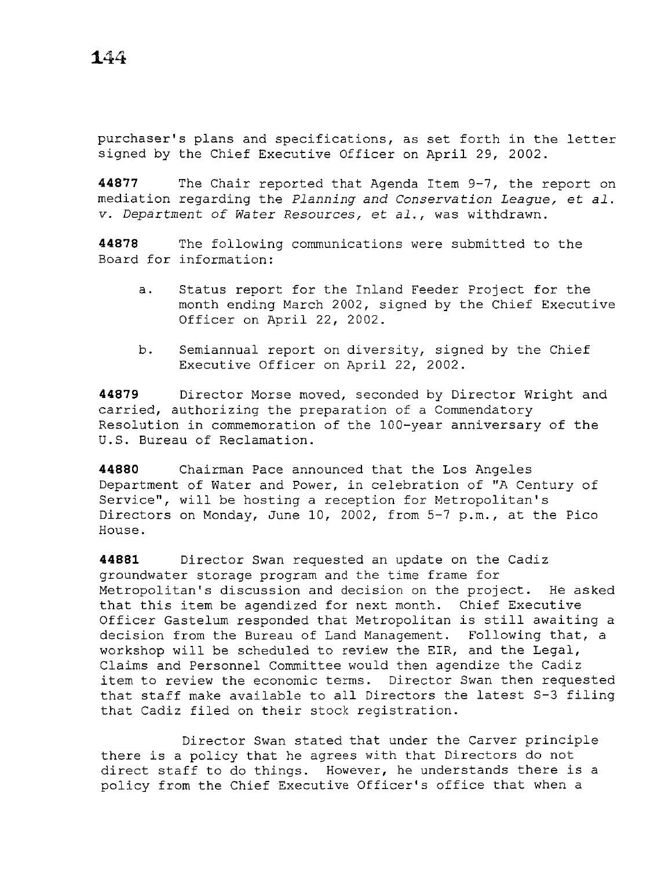**1.44** 

purchaser's plans and specifications, as set forth in the letter signed by the Chief Executive Officer on April 29, 2002.

**44877** The Chair reported that Agenda Item 9-7, the report on mediation regarding the *Planning and Conservation League,* et *al. v. Department of Water Resources,* et *al.,* was withdrawn.

**44878** The following communications were submitted to the Board for information:

- a. Status report for the Inland Feeder Project for the month ending March 2002, signed by the Chief Executive Officer on April 22, 2002.
- b. Semiannual report on diversity, signed by the Chief Executive Officer on April 22, 2002.

**44879** Director Morse moved, seconded by Director Wright and carried, authorizing the preparation of a Commendatory Resolution in commemoration of the 100-year anniversary of the U.S. Bureau of Reclamation.

**44880** Chairman Pace announced that the Los Angeles Department of Water and Power, in celebration of ''A Century of Service", will be hosting a reception for Metropolitan's Directors on Monday, June 10, 2002, from 5-7 p.m., at the Pico House.

**44881** Director Swan requested an update on the Cadiz groundwater storage program and the time frame for Metropolitan's discussion and decision on the project. He asked that this item be agendized for next month. Chief Executive Officer Gastelum responded that Metropolitan is still awaiting a decision from the Bureau of Land Management. Following that, a workshop will be scheduled to review the EIR, and the Legal, Claims and Personnel Committee would then agendize the Cadiz item to review the economic terms. Director Swan then requested that staff make available to all Directors the latest S-3 filing that Cadiz filed on their stock registration.

Director Swan stated that under the Carver principle there is a policy that he agrees with that Directors do not direct staff to do things. However, he understands there is a policy from the Chief Executive Officer's office that when a